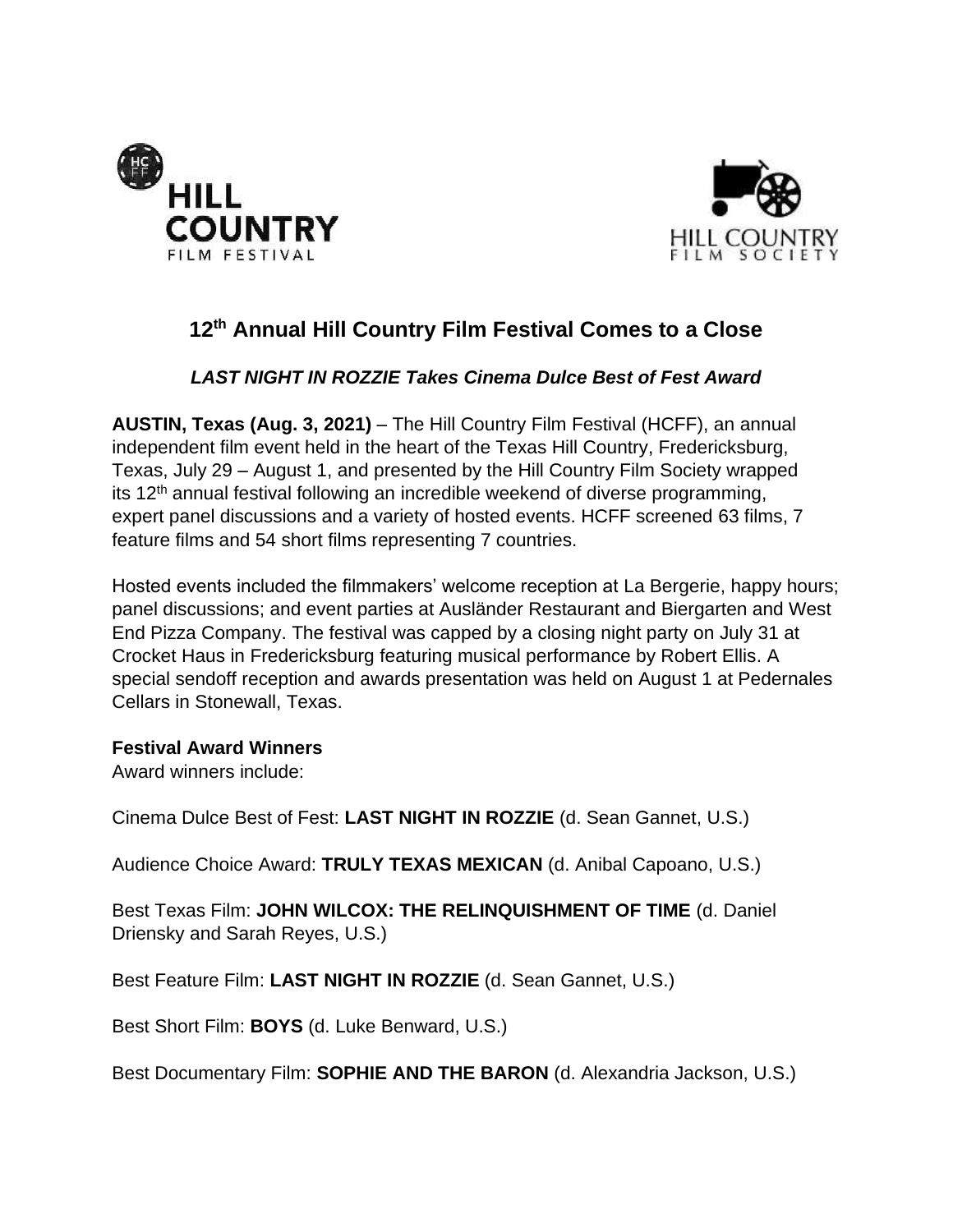



# **12 th Annual Hill Country Film Festival Comes to a Close**

## *LAST NIGHT IN ROZZIE Takes Cinema Dulce Best of Fest Award*

**AUSTIN, Texas (Aug. 3, 2021)** – The Hill Country Film Festival (HCFF), an annual independent film event held in the heart of the Texas Hill Country, Fredericksburg, Texas, July 29 – August 1, and presented by the Hill Country Film Society wrapped its 12<sup>th</sup> annual festival following an incredible weekend of diverse programming, expert panel discussions and a variety of hosted events. HCFF screened 63 films, 7 feature films and 54 short films representing 7 countries.

Hosted events included the filmmakers' welcome reception at La Bergerie, happy hours; panel discussions; and event parties at Ausländer Restaurant and Biergarten and West End Pizza Company. The festival was capped by a closing night party on July 31 at Crocket Haus in Fredericksburg featuring musical performance by Robert Ellis. A special sendoff reception and awards presentation was held on August 1 at Pedernales Cellars in Stonewall, Texas.

#### **Festival Award Winners**

Award winners include:

Cinema Dulce Best of Fest: **LAST NIGHT IN ROZZIE** (d. Sean Gannet, U.S.)

Audience Choice Award: **TRULY TEXAS MEXICAN** (d. Anibal Capoano, U.S.)

Best Texas Film: **JOHN WILCOX: THE RELINQUISHMENT OF TIME** (d. Daniel Driensky and Sarah Reyes, U.S.)

Best Feature Film: **LAST NIGHT IN ROZZIE** (d. Sean Gannet, U.S.)

Best Short Film: **BOYS** (d. Luke Benward, U.S.)

Best Documentary Film: **SOPHIE AND THE BARON** (d. Alexandria Jackson, U.S.)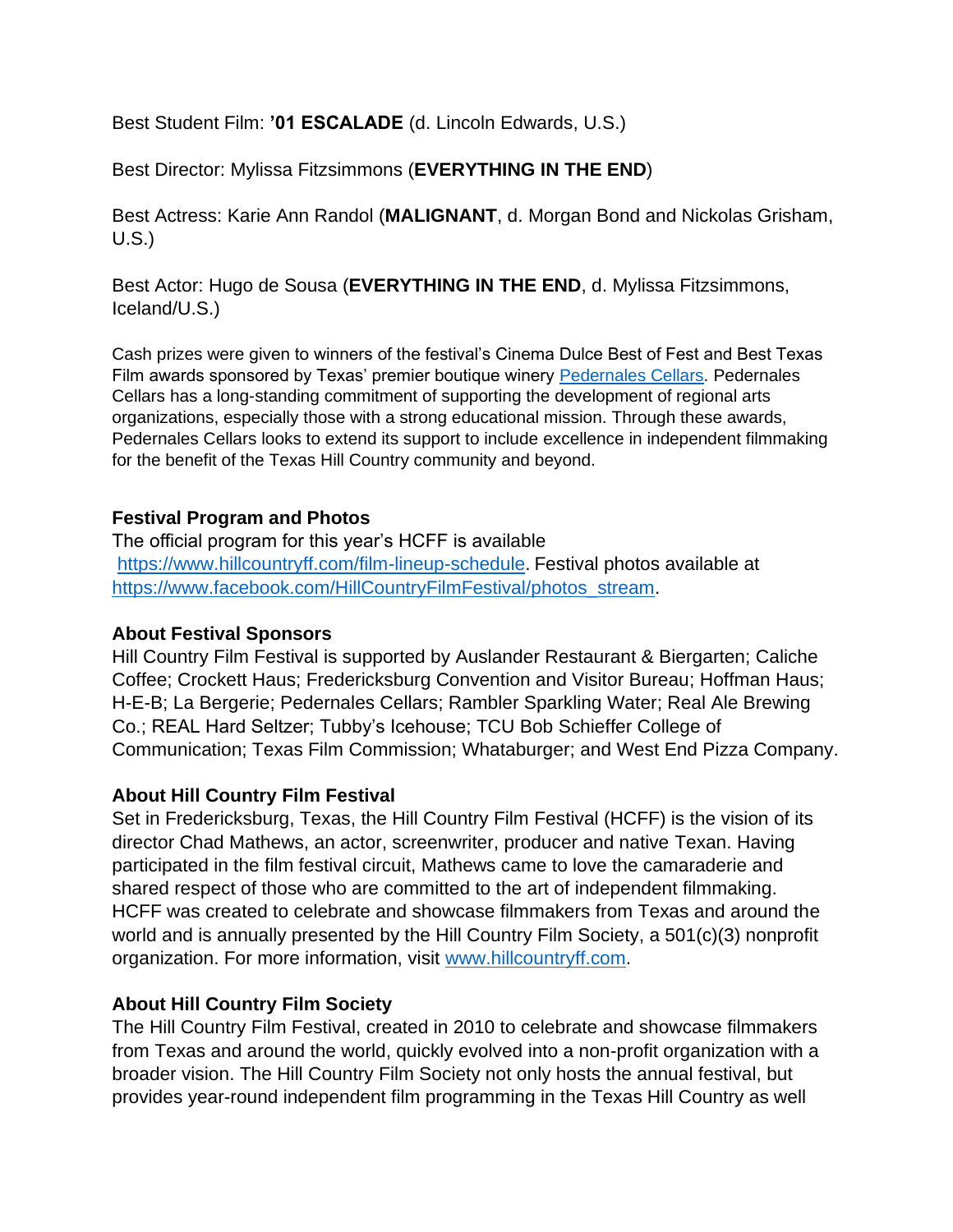Best Student Film: **'01 ESCALADE** (d. Lincoln Edwards, U.S.)

Best Director: Mylissa Fitzsimmons (**EVERYTHING IN THE END**)

Best Actress: Karie Ann Randol (**MALIGNANT**, d. Morgan Bond and Nickolas Grisham, U.S.)

Best Actor: Hugo de Sousa (**EVERYTHING IN THE END**, d. Mylissa Fitzsimmons, Iceland/U.S.)

Cash prizes were given to winners of the festival's Cinema Dulce Best of Fest and Best Texas Film awards sponsored by Texas' premier boutique winery [Pedernales](https://www.pedernalescellars.com/) Cellars. Pedernales Cellars has a long-standing commitment of supporting the development of regional arts organizations, especially those with a strong educational mission. Through these awards, Pedernales Cellars looks to extend its support to include excellence in independent filmmaking for the benefit of the Texas Hill Country community and beyond.

### **Festival Program and Photos**

The official program for this year's HCFF is available [https://www.hillcountryff.com/film-lineup-schedule.](https://www.hillcountryff.com/film-lineup-schedule) Festival photos available at [https://www.facebook.com/HillCountryFilmFestival/photos\\_stream.](https://www.facebook.com/HillCountryFilmFestival/photos_stream)

### **About Festival Sponsors**

Hill Country Film Festival is supported by Auslander Restaurant & Biergarten; Caliche Coffee; Crockett Haus; Fredericksburg Convention and Visitor Bureau; Hoffman Haus; H-E-B; La Bergerie; Pedernales Cellars; Rambler Sparkling Water; Real Ale Brewing Co.; REAL Hard Seltzer; Tubby's Icehouse; TCU Bob Schieffer College of Communication; Texas Film Commission; Whataburger; and West End Pizza Company.

### **About Hill Country Film Festival**

Set in Fredericksburg, Texas, the Hill Country Film Festival (HCFF) is the vision of its director Chad Mathews, an actor, screenwriter, producer and native Texan. Having participated in the film festival circuit, Mathews came to love the camaraderie and shared respect of those who are committed to the art of independent filmmaking. HCFF was created to celebrate and showcase filmmakers from Texas and around the world and is annually presented by the Hill Country Film Society, a 501(c)(3) nonprofit organization. For more information, visit [www.hillcountryff.com.](http://www.hillcountryff.com/)

### **About Hill Country Film Society**

The Hill Country Film Festival, created in 2010 to celebrate and showcase filmmakers from Texas and around the world, quickly evolved into a non-profit organization with a broader vision. The Hill Country Film Society not only hosts the annual festival, but provides year-round independent film programming in the Texas Hill Country as well